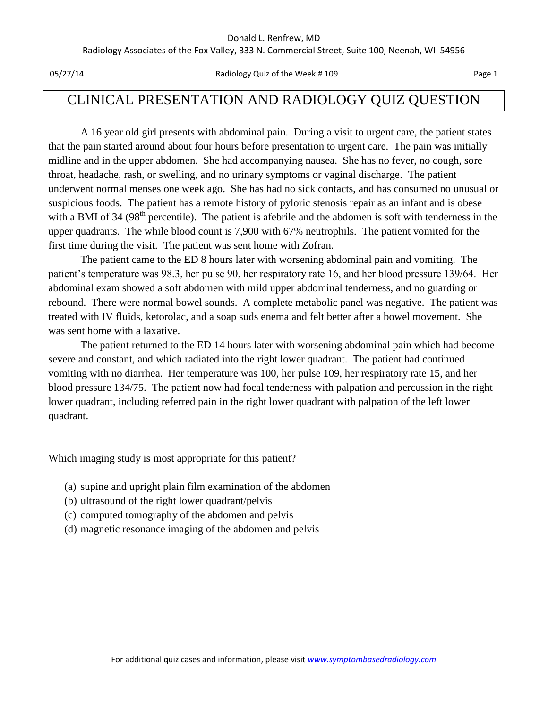#### Donald L. Renfrew, MD

Radiology Associates of the Fox Valley, 333 N. Commercial Street, Suite 100, Neenah, WI 54956

05/27/14 **Page 1** Radiology Quiz of the Week # 109

# CLINICAL PRESENTATION AND RADIOLOGY QUIZ QUESTION

A 16 year old girl presents with abdominal pain. During a visit to urgent care, the patient states that the pain started around about four hours before presentation to urgent care. The pain was initially midline and in the upper abdomen. She had accompanying nausea. She has no fever, no cough, sore throat, headache, rash, or swelling, and no urinary symptoms or vaginal discharge. The patient underwent normal menses one week ago. She has had no sick contacts, and has consumed no unusual or suspicious foods. The patient has a remote history of pyloric stenosis repair as an infant and is obese with a BMI of 34 (98<sup>th</sup> percentile). The patient is afebrile and the abdomen is soft with tenderness in the upper quadrants. The while blood count is 7,900 with 67% neutrophils. The patient vomited for the first time during the visit. The patient was sent home with Zofran.

The patient came to the ED 8 hours later with worsening abdominal pain and vomiting. The patient's temperature was 98.3, her pulse 90, her respiratory rate 16, and her blood pressure 139/64. Her abdominal exam showed a soft abdomen with mild upper abdominal tenderness, and no guarding or rebound. There were normal bowel sounds. A complete metabolic panel was negative. The patient was treated with IV fluids, ketorolac, and a soap suds enema and felt better after a bowel movement. She was sent home with a laxative.

The patient returned to the ED 14 hours later with worsening abdominal pain which had become severe and constant, and which radiated into the right lower quadrant. The patient had continued vomiting with no diarrhea. Her temperature was 100, her pulse 109, her respiratory rate 15, and her blood pressure 134/75. The patient now had focal tenderness with palpation and percussion in the right lower quadrant, including referred pain in the right lower quadrant with palpation of the left lower quadrant.

Which imaging study is most appropriate for this patient?

- (a) supine and upright plain film examination of the abdomen
- (b) ultrasound of the right lower quadrant/pelvis
- (c) computed tomography of the abdomen and pelvis
- (d) magnetic resonance imaging of the abdomen and pelvis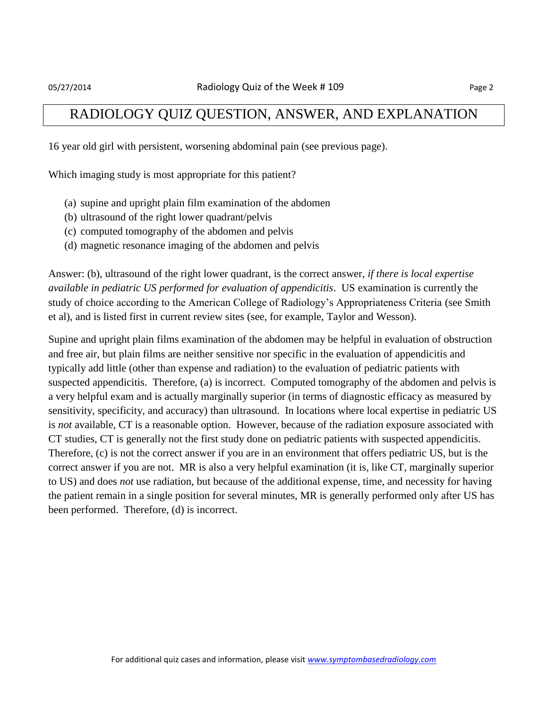#### RADIOLOGY QUIZ QUESTION, ANSWER, AND EXPLANATION

16 year old girl with persistent, worsening abdominal pain (see previous page).

Which imaging study is most appropriate for this patient?

- (a) supine and upright plain film examination of the abdomen
- (b) ultrasound of the right lower quadrant/pelvis
- (c) computed tomography of the abdomen and pelvis
- (d) magnetic resonance imaging of the abdomen and pelvis

Answer: (b), ultrasound of the right lower quadrant, is the correct answer, *if there is local expertise available in pediatric US performed for evaluation of appendicitis*. US examination is currently the study of choice according to the American College of Radiology's Appropriateness Criteria (see Smith et al), and is listed first in current review sites (see, for example, Taylor and Wesson).

Supine and upright plain films examination of the abdomen may be helpful in evaluation of obstruction and free air, but plain films are neither sensitive nor specific in the evaluation of appendicitis and typically add little (other than expense and radiation) to the evaluation of pediatric patients with suspected appendicitis. Therefore, (a) is incorrect. Computed tomography of the abdomen and pelvis is a very helpful exam and is actually marginally superior (in terms of diagnostic efficacy as measured by sensitivity, specificity, and accuracy) than ultrasound. In locations where local expertise in pediatric US is *not* available, CT is a reasonable option. However, because of the radiation exposure associated with CT studies, CT is generally not the first study done on pediatric patients with suspected appendicitis. Therefore, (c) is not the correct answer if you are in an environment that offers pediatric US, but is the correct answer if you are not. MR is also a very helpful examination (it is, like CT, marginally superior to US) and does *not* use radiation, but because of the additional expense, time, and necessity for having the patient remain in a single position for several minutes, MR is generally performed only after US has been performed. Therefore, (d) is incorrect.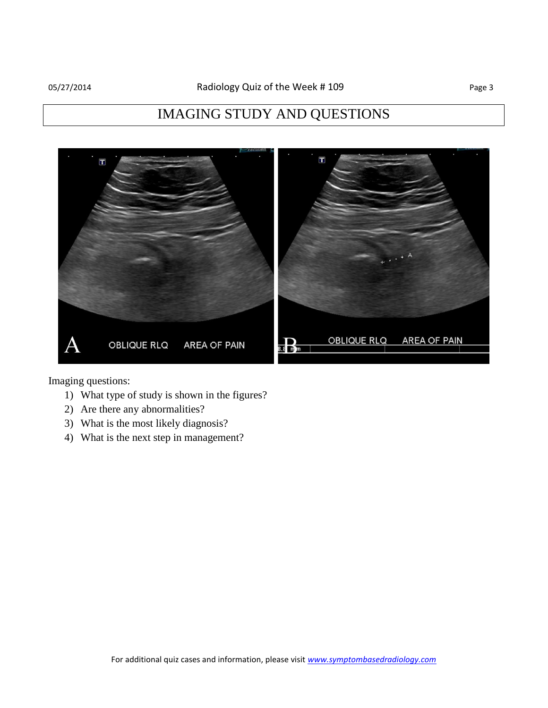# IMAGING STUDY AND QUESTIONS



Imaging questions:

- 1) What type of study is shown in the figures?
- 2) Are there any abnormalities?
- 3) What is the most likely diagnosis?
- 4) What is the next step in management?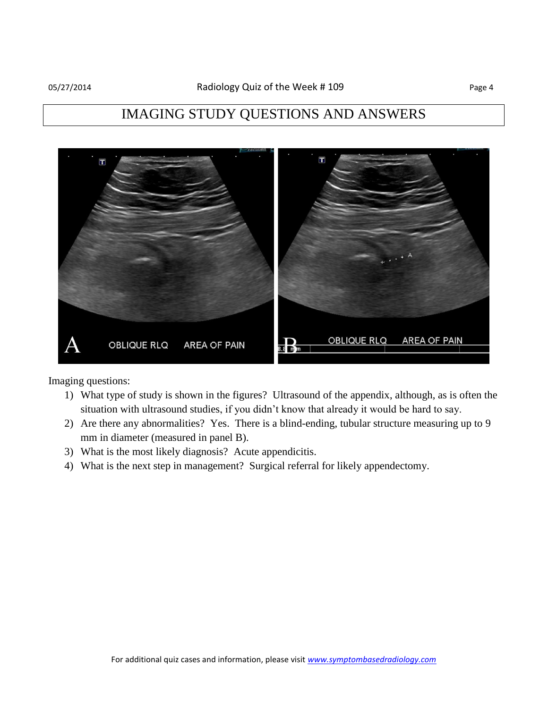### IMAGING STUDY QUESTIONS AND ANSWERS



Imaging questions:

- 1) What type of study is shown in the figures? Ultrasound of the appendix, although, as is often the situation with ultrasound studies, if you didn't know that already it would be hard to say.
- 2) Are there any abnormalities? Yes. There is a blind-ending, tubular structure measuring up to 9 mm in diameter (measured in panel B).
- 3) What is the most likely diagnosis? Acute appendicitis.
- 4) What is the next step in management? Surgical referral for likely appendectomy.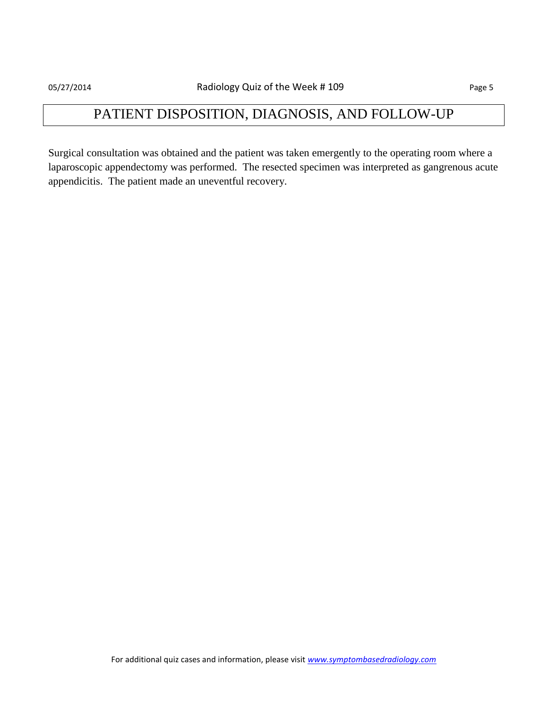## PATIENT DISPOSITION, DIAGNOSIS, AND FOLLOW-UP

Surgical consultation was obtained and the patient was taken emergently to the operating room where a laparoscopic appendectomy was performed. The resected specimen was interpreted as gangrenous acute appendicitis. The patient made an uneventful recovery.